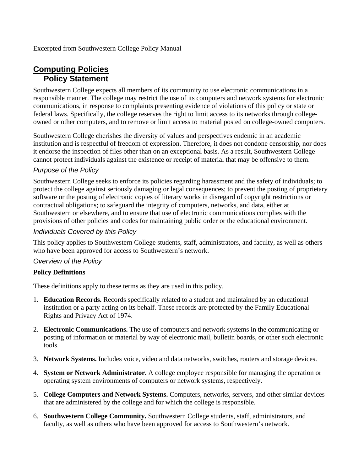Excerpted from Southwestern College Policy Manual

# **Computing Policies Policy Statement**

Southwestern College expects all members of its community to use electronic communications in a responsible manner. The college may restrict the use of its computers and network systems for electronic communications, in response to complaints presenting evidence of violations of this policy or state or federal laws. Specifically, the college reserves the right to limit access to its networks through collegeowned or other computers, and to remove or limit access to material posted on college-owned computers.

Southwestern College cherishes the diversity of values and perspectives endemic in an academic institution and is respectful of freedom of expression. Therefore, it does not condone censorship, nor does it endorse the inspection of files other than on an exceptional basis. As a result, Southwestern College cannot protect individuals against the existence or receipt of material that may be offensive to them.

### *Purpose of the Policy*

Southwestern College seeks to enforce its policies regarding harassment and the safety of individuals; to protect the college against seriously damaging or legal consequences; to prevent the posting of proprietary software or the posting of electronic copies of literary works in disregard of copyright restrictions or contractual obligations; to safeguard the integrity of computers, networks, and data, either at Southwestern or elsewhere, and to ensure that use of electronic communications complies with the provisions of other policies and codes for maintaining public order or the educational environment.

### *Individuals Covered by this Policy*

This policy applies to Southwestern College students, staff, administrators, and faculty, as well as others who have been approved for access to Southwestern's network.

#### *Overview of the Policy*

#### **Policy Definitions**

These definitions apply to these terms as they are used in this policy.

- 1. **Education Records.** Records specifically related to a student and maintained by an educational institution or a party acting on its behalf. These records are protected by the Family Educational Rights and Privacy Act of 1974.
- 2. **Electronic Communications.** The use of computers and network systems in the communicating or posting of information or material by way of electronic mail, bulletin boards, or other such electronic tools.
- 3. **Network Systems.** Includes voice, video and data networks, switches, routers and storage devices.
- 4. **System or Network Administrator.** A college employee responsible for managing the operation or operating system environments of computers or network systems, respectively.
- 5. **College Computers and Network Systems.** Computers, networks, servers, and other similar devices that are administered by the college and for which the college is responsible.
- 6. **Southwestern College Community.** Southwestern College students, staff, administrators, and faculty, as well as others who have been approved for access to Southwestern's network.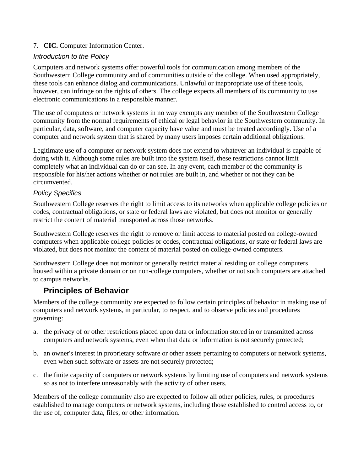### 7. **CIC.** Computer Information Center.

### *Introduction to the Policy*

Computers and network systems offer powerful tools for communication among members of the Southwestern College community and of communities outside of the college. When used appropriately, these tools can enhance dialog and communications. Unlawful or inappropriate use of these tools, however, can infringe on the rights of others. The college expects all members of its community to use electronic communications in a responsible manner.

The use of computers or network systems in no way exempts any member of the Southwestern College community from the normal requirements of ethical or legal behavior in the Southwestern community. In particular, data, software, and computer capacity have value and must be treated accordingly. Use of a computer and network system that is shared by many users imposes certain additional obligations.

Legitimate use of a computer or network system does not extend to whatever an individual is capable of doing with it. Although some rules are built into the system itself, these restrictions cannot limit completely what an individual can do or can see. In any event, each member of the community is responsible for his/her actions whether or not rules are built in, and whether or not they can be circumvented.

### *Policy Specifics*

Southwestern College reserves the right to limit access to its networks when applicable college policies or codes, contractual obligations, or state or federal laws are violated, but does not monitor or generally restrict the content of material transported across those networks.

Southwestern College reserves the right to remove or limit access to material posted on college-owned computers when applicable college policies or codes, contractual obligations, or state or federal laws are violated, but does not monitor the content of material posted on college-owned computers.

Southwestern College does not monitor or generally restrict material residing on college computers housed within a private domain or on non-college computers, whether or not such computers are attached to campus networks.

# **Principles of Behavior**

Members of the college community are expected to follow certain principles of behavior in making use of computers and network systems, in particular, to respect, and to observe policies and procedures governing:

- a. the privacy of or other restrictions placed upon data or information stored in or transmitted across computers and network systems, even when that data or information is not securely protected;
- b. an owner's interest in proprietary software or other assets pertaining to computers or network systems, even when such software or assets are not securely protected;
- c. the finite capacity of computers or network systems by limiting use of computers and network systems so as not to interfere unreasonably with the activity of other users.

Members of the college community also are expected to follow all other policies, rules, or procedures established to manage computers or network systems, including those established to control access to, or the use of, computer data, files, or other information.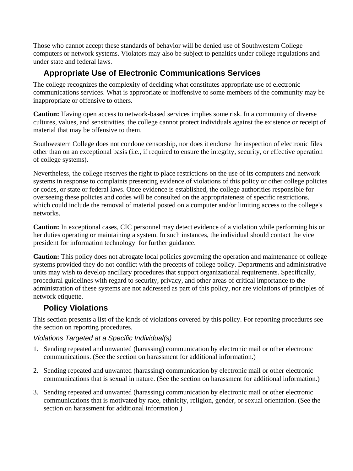Those who cannot accept these standards of behavior will be denied use of Southwestern College computers or network systems. Violators may also be subject to penalties under college regulations and under state and federal laws.

# **Appropriate Use of Electronic Communications Services**

The college recognizes the complexity of deciding what constitutes appropriate use of electronic communications services. What is appropriate or inoffensive to some members of the community may be inappropriate or offensive to others.

**Caution:** Having open access to network-based services implies some risk. In a community of diverse cultures, values, and sensitivities, the college cannot protect individuals against the existence or receipt of material that may be offensive to them.

Southwestern College does not condone censorship, nor does it endorse the inspection of electronic files other than on an exceptional basis (i.e., if required to ensure the integrity, security, or effective operation of college systems).

Nevertheless, the college reserves the right to place restrictions on the use of its computers and network systems in response to complaints presenting evidence of violations of this policy or other college policies or codes, or state or federal laws. Once evidence is established, the college authorities responsible for overseeing these policies and codes will be consulted on the appropriateness of specific restrictions, which could include the removal of material posted on a computer and/or limiting access to the college's networks.

**Caution:** In exceptional cases, CIC personnel may detect evidence of a violation while performing his or her duties operating or maintaining a system. In such instances, the individual should contact the vice president for information technology for further guidance.

**Caution:** This policy does not abrogate local policies governing the operation and maintenance of college systems provided they do not conflict with the precepts of college policy. Departments and administrative units may wish to develop ancillary procedures that support organizational requirements. Specifically, procedural guidelines with regard to security, privacy, and other areas of critical importance to the administration of these systems are not addressed as part of this policy, nor are violations of principles of network etiquette.

# **Policy Violations**

This section presents a list of the kinds of violations covered by this policy. For reporting procedures see the section on reporting procedures.

### *Violations Targeted at a Specific Individual(s)*

- 1. Sending repeated and unwanted (harassing) communication by electronic mail or other electronic communications. (See the section on harassment for additional information.)
- 2. Sending repeated and unwanted (harassing) communication by electronic mail or other electronic communications that is sexual in nature. (See the section on harassment for additional information.)
- 3. Sending repeated and unwanted (harassing) communication by electronic mail or other electronic communications that is motivated by race, ethnicity, religion, gender, or sexual orientation. (See the section on harassment for additional information.)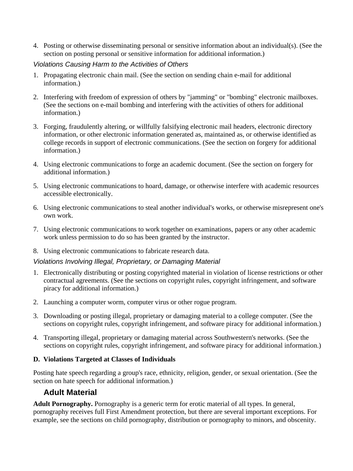4. Posting or otherwise disseminating personal or sensitive information about an individual(s). (See the section on posting personal or sensitive information for additional information.)

### *Violations Causing Harm to the Activities of Others*

- 1. Propagating electronic chain mail. (See the section on sending chain e-mail for additional information.)
- 2. Interfering with freedom of expression of others by "jamming" or "bombing" electronic mailboxes. (See the sections on e-mail bombing and interfering with the activities of others for additional information.)
- 3. Forging, fraudulently altering, or willfully falsifying electronic mail headers, electronic directory information, or other electronic information generated as, maintained as, or otherwise identified as college records in support of electronic communications. (See the section on forgery for additional information.)
- 4. Using electronic communications to forge an academic document. (See the section on forgery for additional information.)
- 5. Using electronic communications to hoard, damage, or otherwise interfere with academic resources accessible electronically.
- 6. Using electronic communications to steal another individual's works, or otherwise misrepresent one's own work.
- 7. Using electronic communications to work together on examinations, papers or any other academic work unless permission to do so has been granted by the instructor.
- 8. Using electronic communications to fabricate research data.

### *Violations Involving Illegal, Proprietary, or Damaging Material*

- 1. Electronically distributing or posting copyrighted material in violation of license restrictions or other contractual agreements. (See the sections on copyright rules, copyright infringement, and software piracy for additional information.)
- 2. Launching a computer worm, computer virus or other rogue program.
- 3. Downloading or posting illegal, proprietary or damaging material to a college computer. (See the sections on copyright rules, copyright infringement, and software piracy for additional information.)
- 4. Transporting illegal, proprietary or damaging material across Southwestern's networks. (See the sections on copyright rules, copyright infringement, and software piracy for additional information.)

#### **D. Violations Targeted at Classes of Individuals**

Posting hate speech regarding a group's race, ethnicity, religion, gender, or sexual orientation. (See the section on hate speech for additional information.)

### **Adult Material**

**Adult Pornography.** Pornography is a generic term for erotic material of all types. In general, pornography receives full First Amendment protection, but there are several important exceptions. For example, see the sections on child pornography, distribution or pornography to minors, and obscenity.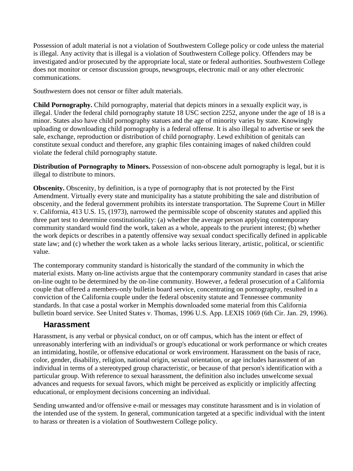Possession of adult material is not a violation of Southwestern College policy or code unless the material is illegal. Any activity that is illegal is a violation of Southwestern College policy. Offenders may be investigated and/or prosecuted by the appropriate local, state or federal authorities. Southwestern College does not monitor or censor discussion groups, newsgroups, electronic mail or any other electronic communications.

Southwestern does not censor or filter adult materials.

**Child Pornography.** Child pornography, material that depicts minors in a sexually explicit way, is illegal. Under the federal child pornography statute 18 USC section 2252, anyone under the age of 18 is a minor. States also have child pornography statues and the age of minority varies by state. Knowingly uploading or downloading child pornography is a federal offense. It is also illegal to advertise or seek the sale, exchange, reproduction or distribution of child pornography. Lewd exhibition of genitals can constitute sexual conduct and therefore, any graphic files containing images of naked children could violate the federal child pornography statute.

**Distribution of Pornography to Minors.** Possession of non-obscene adult pornography is legal, but it is illegal to distribute to minors.

**Obscenity.** Obscenity, by definition, is a type of pornography that is not protected by the First Amendment. Virtually every state and municipality has a statute prohibiting the sale and distribution of obscenity, and the federal government prohibits its interstate transportation. The Supreme Court in Miller v. California, 413 U.S. 15, (1973), narrowed the permissible scope of obscenity statutes and applied this three part test to determine constitutionality: (a) whether the average person applying contemporary community standard would find the work, taken as a whole, appeals to the prurient interest; (b) whether the work depicts or describes in a patently offensive way sexual conduct specifically defined in applicable state law; and (c) whether the work taken as a whole lacks serious literary, artistic, political, or scientific value.

The contemporary community standard is historically the standard of the community in which the material exists. Many on-line activists argue that the contemporary community standard in cases that arise on-line ought to be determined by the on-line community. However, a federal prosecution of a California couple that offered a members-only bulletin board service, concentrating on pornography, resulted in a conviction of the California couple under the federal obscenity statute and Tennessee community standards. In that case a postal worker in Memphis downloaded some material from this California bulletin board service. See United States v. Thomas, 1996 U.S. App. LEXIS 1069 (6th Cir. Jan. 29, 1996).

### **Harassment**

Harassment, is any verbal or physical conduct, on or off campus, which has the intent or effect of unreasonably interfering with an individual's or group's educational or work performance or which creates an intimidating, hostile, or offensive educational or work environment. Harassment on the basis of race, color, gender, disability, religion, national origin, sexual orientation, or age includes harassment of an individual in terms of a stereotyped group characteristic, or because of that person's identification with a particular group. With reference to sexual harassment, the definition also includes unwelcome sexual advances and requests for sexual favors, which might be perceived as explicitly or implicitly affecting educational, or employment decisions concerning an individual.

Sending unwanted and/or offensive e-mail or messages may constitute harassment and is in violation of the intended use of the system. In general, communication targeted at a specific individual with the intent to harass or threaten is a violation of Southwestern College policy.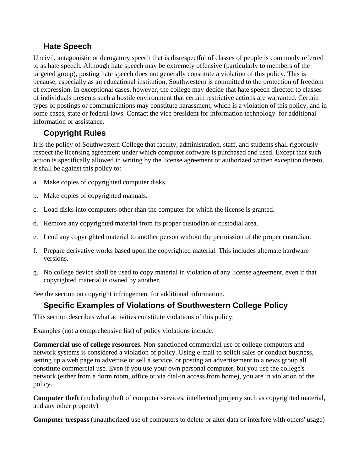# **Hate Speech**

Uncivil, antagonistic or derogatory speech that is disrespectful of classes of people is commonly referred to as hate speech. Although hate speech may be extremely offensive (particularly to members of the targeted group), posting hate speech does not generally constitute a violation of this policy. This is because, especially as an educational institution, Southwestern is committed to the protection of freedom of expression. In exceptional cases, however, the college may decide that hate speech directed to classes of individuals presents such a hostile environment that certain restrictive actions are warranted. Certain types of postings or communications may constitute harassment, which is a violation of this policy, and in some cases, state or federal laws. Contact the vice president for information technology for additional information or assistance.

# **Copyright Rules**

It is the policy of Southwestern College that faculty, administration, staff, and students shall rigorously respect the licensing agreement under which computer software is purchased and used. Except that such action is specifically allowed in writing by the license agreement or authorized written exception thereto, it shall be against this policy to:

- a. Make copies of copyrighted computer disks.
- b. Make copies of copyrighted manuals.
- c. Load disks into computers other than the computer for which the license is granted.
- d. Remove any copyrighted material from its proper custodian or custodial area.
- e. Lend any copyrighted material to another person without the permission of the proper custodian.
- f. Prepare derivative works based upon the copyrighted material. This includes alternate hardware versions.
- g. No college device shall be used to copy material in violation of any license agreement, even if that copyrighted material is owned by another.

See the section on copyright infringement for additional information.

# **Specific Examples of Violations of Southwestern College Policy**

This section describes what activities constitute violations of this policy.

Examples (not a comprehensive list) of policy violations include:

**Commercial use of college resources.** Non-sanctioned commercial use of college computers and network systems is considered a violation of policy. Using e-mail to solicit sales or conduct business, setting up a web page to advertise or sell a service, or posting an advertisement to a news group all constitute commercial use. Even if you use your own personal computer, but you use the college's network (either from a dorm room, office or via dial-in access from home), you are in violation of the policy.

**Computer theft** (including theft of computer services, intellectual property such as copyrighted material, and any other property)

**Computer trespass** (unauthorized use of computers to delete or alter data or interfere with others' usage)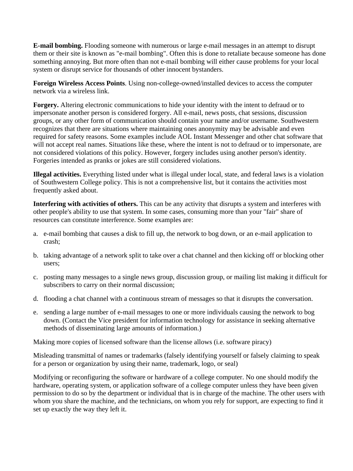**E-mail bombing.** Flooding someone with numerous or large e-mail messages in an attempt to disrupt them or their site is known as "e-mail bombing". Often this is done to retaliate because someone has done something annoying. But more often than not e-mail bombing will either cause problems for your local system or disrupt service for thousands of other innocent bystanders.

**Foreign Wireless Access Points**. Using non-college-owned/installed devices to access the computer network via a wireless link.

**Forgery.** Altering electronic communications to hide your identity with the intent to defraud or to impersonate another person is considered forgery. All e-mail, news posts, chat sessions, discussion groups, or any other form of communication should contain your name and/or username. Southwestern recognizes that there are situations where maintaining ones anonymity may be advisable and even required for safety reasons. Some examples include AOL Instant Messenger and other chat software that will not accept real names. Situations like these, where the intent is not to defraud or to impersonate, are not considered violations of this policy. However, forgery includes using another person's identity. Forgeries intended as pranks or jokes are still considered violations.

**Illegal activities.** Everything listed under what is illegal under local, state, and federal laws is a violation of Southwestern College policy. This is not a comprehensive list, but it contains the activities most frequently asked about.

**Interfering with activities of others.** This can be any activity that disrupts a system and interferes with other people's ability to use that system. In some cases, consuming more than your "fair" share of resources can constitute interference. Some examples are:

- a. e-mail bombing that causes a disk to fill up, the network to bog down, or an e-mail application to crash;
- b. taking advantage of a network split to take over a chat channel and then kicking off or blocking other users;
- c. posting many messages to a single news group, discussion group, or mailing list making it difficult for subscribers to carry on their normal discussion;
- d. flooding a chat channel with a continuous stream of messages so that it disrupts the conversation.
- e. sending a large number of e-mail messages to one or more individuals causing the network to bog down. (Contact the Vice president for information technology for assistance in seeking alternative methods of disseminating large amounts of information.)

Making more copies of licensed software than the license allows (i.e. software piracy)

Misleading transmittal of names or trademarks (falsely identifying yourself or falsely claiming to speak for a person or organization by using their name, trademark, logo, or seal)

Modifying or reconfiguring the software or hardware of a college computer. No one should modify the hardware, operating system, or application software of a college computer unless they have been given permission to do so by the department or individual that is in charge of the machine. The other users with whom you share the machine, and the technicians, on whom you rely for support, are expecting to find it set up exactly the way they left it.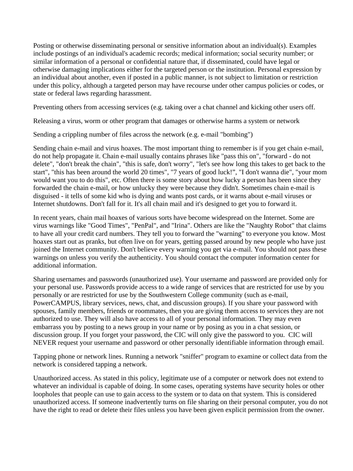Posting or otherwise disseminating personal or sensitive information about an individual(s). Examples include postings of an individual's academic records; medical information; social security number; or similar information of a personal or confidential nature that, if disseminated, could have legal or otherwise damaging implications either for the targeted person or the institution. Personal expression by an individual about another, even if posted in a public manner, is not subject to limitation or restriction under this policy, although a targeted person may have recourse under other campus policies or codes, or state or federal laws regarding harassment.

Preventing others from accessing services (e.g. taking over a chat channel and kicking other users off.

Releasing a virus, worm or other program that damages or otherwise harms a system or network

Sending a crippling number of files across the network (e.g. e-mail "bombing")

Sending chain e-mail and virus hoaxes. The most important thing to remember is if you get chain e-mail, do not help propagate it. Chain e-mail usually contains phrases like "pass this on", "forward - do not delete", "don't break the chain", "this is safe, don't worry", "let's see how long this takes to get back to the start", "this has been around the world 20 times", "7 years of good luck!", "I don't wanna die", "your mom would want you to do this", etc. Often there is some story about how lucky a person has been since they forwarded the chain e-mail, or how unlucky they were because they didn't. Sometimes chain e-mail is disguised - it tells of some kid who is dying and wants post cards, or it warns about e-mail viruses or Internet shutdowns. Don't fall for it. It's all chain mail and it's designed to get you to forward it.

In recent years, chain mail hoaxes of various sorts have become widespread on the Internet. Some are virus warnings like "Good Times", "PenPal", and "Irina". Others are like the "Naughty Robot" that claims to have all your credit card numbers. They tell you to forward the "warning" to everyone you know. Most hoaxes start out as pranks, but often live on for years, getting passed around by new people who have just joined the Internet community. Don't believe every warning you get via e-mail. You should not pass these warnings on unless you verify the authenticity. You should contact the computer information center for additional information.

Sharing usernames and passwords (unauthorized use). Your username and password are provided only for your personal use. Passwords provide access to a wide range of services that are restricted for use by you personally or are restricted for use by the Southwestern College community (such as e-mail, PowerCAMPUS, library services, news, chat, and discussion groups). If you share your password with spouses, family members, friends or roommates, then you are giving them access to services they are not authorized to use. They will also have access to all of your personal information. They may even embarrass you by posting to a news group in your name or by posing as you in a chat session, or discussion group. If you forget your password, the CIC will only give the password to you. CIC will NEVER request your username and password or other personally identifiable information through email.

Tapping phone or network lines. Running a network "sniffer" program to examine or collect data from the network is considered tapping a network.

Unauthorized access. As stated in this policy, legitimate use of a computer or network does not extend to whatever an individual is capable of doing. In some cases, operating systems have security holes or other loopholes that people can use to gain access to the system or to data on that system. This is considered unauthorized access. If someone inadvertently turns on file sharing on their personal computer, you do not have the right to read or delete their files unless you have been given explicit permission from the owner.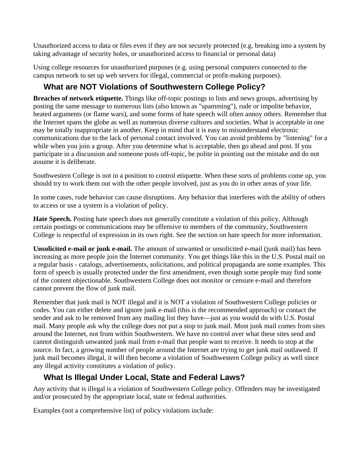Unauthorized access to data or files even if they are not securely protected (e.g. breaking into a system by taking advantage of security holes, or unauthorized access to financial or personal data)

Using college resources for unauthorized purposes (e.g. using personal computers connected to the campus network to set up web servers for illegal, commercial or profit-making purposes).

# **What are NOT Violations of Southwestern College Policy?**

**Breaches of network etiquette.** Things like off-topic postings to lists and news groups, advertising by posting the same message to numerous lists (also known as "spamming"), rude or impolite behavior, heated arguments (or flame wars), and some forms of hate speech will often annoy others. Remember that the Internet spans the globe as well as numerous diverse cultures and societies. What is acceptable in one may be totally inappropriate in another. Keep in mind that it is easy to misunderstand electronic communications due to the lack of personal contact involved. You can avoid problems by "listening" for a while when you join a group. After you determine what is acceptable, then go ahead and post. If you participate in a discussion and someone posts off-topic, be polite in pointing out the mistake and do not assume it is deliberate.

Southwestern College is not in a position to control etiquette. When these sorts of problems come up, you should try to work them out with the other people involved, just as you do in other areas of your life.

In some cases, rude behavior can cause disruptions. Any behavior that interferes with the ability of others to access or use a system is a violation of policy.

**Hate Speech.** Posting hate speech does not generally constitute a violation of this policy. Although certain postings or communications may be offensive to members of the community, Southwestern College is respectful of expression in its own right. See the section on hate speech for more information.

**Unsolicited e-mail or junk e-mail.** The amount of unwanted or unsolicited e-mail (junk mail) has been increasing as more people join the Internet community. You get things like this in the U.S. Postal mail on a regular basis - catalogs, advertisements, solicitations, and political propaganda are some examples. This form of speech is usually protected under the first amendment, even though some people may find some of the content objectionable. Southwestern College does not monitor or censure e-mail and therefore cannot prevent the flow of junk mail.

Remember that junk mail is NOT illegal and it is NOT a violation of Southwestern College policies or codes. You can either delete and ignore junk e-mail (this is the recommended approach) or contact the sender and ask to be removed from any mailing list they have—just as you would do with U.S. Postal mail. Many people ask why the college does not put a stop to junk mail. Most junk mail comes from sites around the Internet, not from within Southwestern. We have no control over what these sites send and cannot distinguish unwanted junk mail from e-mail that people want to receive. It needs to stop at the source. In fact, a growing number of people around the Internet are trying to get junk mail outlawed. If junk mail becomes illegal, it will then become a violation of Southwestern College policy as well since any illegal activity constitutes a violation of policy.

# **What Is Illegal Under Local, State and Federal Laws?**

Any activity that is illegal is a violation of Southwestern College policy. Offenders may be investigated and/or prosecuted by the appropriate local, state or federal authorities.

Examples (not a comprehensive list) of policy violations include: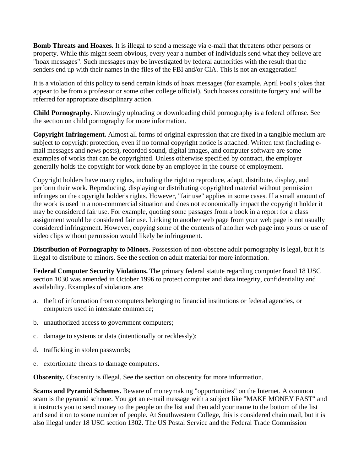**Bomb Threats and Hoaxes.** It is illegal to send a message via e-mail that threatens other persons or property. While this might seem obvious, every year a number of individuals send what they believe are "hoax messages". Such messages may be investigated by federal authorities with the result that the senders end up with their names in the files of the FBI and/or CIA. This is not an exaggeration!

It is a violation of this policy to send certain kinds of hoax messages (for example, April Fool's jokes that appear to be from a professor or some other college official). Such hoaxes constitute forgery and will be referred for appropriate disciplinary action.

**Child Pornography.** Knowingly uploading or downloading child pornography is a federal offense. See the section on child pornography for more information.

**Copyright Infringement.** Almost all forms of original expression that are fixed in a tangible medium are subject to copyright protection, even if no formal copyright notice is attached. Written text (including email messages and news posts), recorded sound, digital images, and computer software are some examples of works that can be copyrighted. Unless otherwise specified by contract, the employer generally holds the copyright for work done by an employee in the course of employment.

Copyright holders have many rights, including the right to reproduce, adapt, distribute, display, and perform their work. Reproducing, displaying or distributing copyrighted material without permission infringes on the copyright holder's rights. However, "fair use" applies in some cases. If a small amount of the work is used in a non-commercial situation and does not economically impact the copyright holder it may be considered fair use. For example, quoting some passages from a book in a report for a class assignment would be considered fair use. Linking to another web page from your web page is not usually considered infringement. However, copying some of the contents of another web page into yours or use of video clips without permission would likely be infringement.

**Distribution of Pornography to Minors.** Possession of non-obscene adult pornography is legal, but it is illegal to distribute to minors. See the section on adult material for more information.

**Federal Computer Security Violations.** The primary federal statute regarding computer fraud 18 USC section 1030 was amended in October 1996 to protect computer and data integrity, confidentiality and availability. Examples of violations are:

- a. theft of information from computers belonging to financial institutions or federal agencies, or computers used in interstate commerce;
- b. unauthorized access to government computers;
- c. damage to systems or data (intentionally or recklessly);
- d. trafficking in stolen passwords;
- e. extortionate threats to damage computers.

**Obscenity.** Obscenity is illegal. See the section on obscenity for more information.

**Scams and Pyramid Schemes.** Beware of moneymaking "opportunities" on the Internet. A common scam is the pyramid scheme. You get an e-mail message with a subject like "MAKE MONEY FAST" and it instructs you to send money to the people on the list and then add your name to the bottom of the list and send it on to some number of people. At Southwestern College, this is considered chain mail, but it is also illegal under 18 USC section 1302. The US Postal Service and the Federal Trade Commission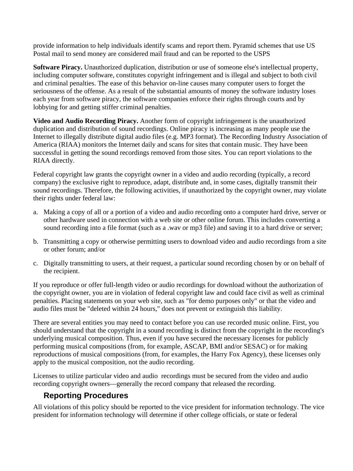provide information to help individuals identify scams and report them. Pyramid schemes that use US Postal mail to send money are considered mail fraud and can be reported to the USPS

**Software Piracy.** Unauthorized duplication, distribution or use of someone else's intellectual property, including computer software, constitutes copyright infringement and is illegal and subject to both civil and criminal penalties. The ease of this behavior on-line causes many computer users to forget the seriousness of the offense. As a result of the substantial amounts of money the software industry loses each year from software piracy, the software companies enforce their rights through courts and by lobbying for and getting stiffer criminal penalties.

**Video and Audio Recording Piracy.** Another form of copyright infringement is the unauthorized duplication and distribution of sound recordings. Online piracy is increasing as many people use the Internet to illegally distribute digital audio files (e.g. MP3 format). The Recording Industry Association of America (RIAA) monitors the Internet daily and scans for sites that contain music. They have been successful in getting the sound recordings removed from those sites. You can report violations to the RIAA directly.

Federal copyright law grants the copyright owner in a video and audio recording (typically, a record company) the exclusive right to reproduce, adapt, distribute and, in some cases, digitally transmit their sound recordings. Therefore, the following activities, if unauthorized by the copyright owner, may violate their rights under federal law:

- a. Making a copy of all or a portion of a video and audio recording onto a computer hard drive, server or other hardware used in connection with a web site or other online forum. This includes converting a sound recording into a file format (such as a .wav or mp3 file) and saving it to a hard drive or server;
- b. Transmitting a copy or otherwise permitting users to download video and audio recordings from a site or other forum; and/or
- c. Digitally transmitting to users, at their request, a particular sound recording chosen by or on behalf of the recipient.

If you reproduce or offer full-length video or audio recordings for download without the authorization of the copyright owner, you are in violation of federal copyright law and could face civil as well as criminal penalties. Placing statements on your web site, such as "for demo purposes only" or that the video and audio files must be "deleted within 24 hours," does not prevent or extinguish this liability.

There are several entities you may need to contact before you can use recorded music online. First, you should understand that the copyright in a sound recording is distinct from the copyright in the recording's underlying musical composition. Thus, even if you have secured the necessary licenses for publicly performing musical compositions (from, for example, ASCAP, BMI and/or SESAC) or for making reproductions of musical compositions (from, for examples, the Harry Fox Agency), these licenses only apply to the musical composition, not the audio recording.

Licenses to utilize particular video and audio recordings must be secured from the video and audio recording copyright owners—generally the record company that released the recording.

# **Reporting Procedures**

All violations of this policy should be reported to the vice president for information technology. The vice president for information technology will determine if other college officials, or state or federal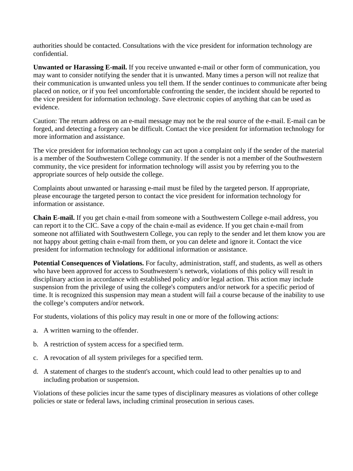authorities should be contacted. Consultations with the vice president for information technology are confidential.

**Unwanted or Harassing E-mail.** If you receive unwanted e-mail or other form of communication, you may want to consider notifying the sender that it is unwanted. Many times a person will not realize that their communication is unwanted unless you tell them. If the sender continues to communicate after being placed on notice, or if you feel uncomfortable confronting the sender, the incident should be reported to the vice president for information technology. Save electronic copies of anything that can be used as evidence.

Caution: The return address on an e-mail message may not be the real source of the e-mail. E-mail can be forged, and detecting a forgery can be difficult. Contact the vice president for information technology for more information and assistance.

The vice president for information technology can act upon a complaint only if the sender of the material is a member of the Southwestern College community. If the sender is not a member of the Southwestern community, the vice president for information technology will assist you by referring you to the appropriate sources of help outside the college.

Complaints about unwanted or harassing e-mail must be filed by the targeted person. If appropriate, please encourage the targeted person to contact the vice president for information technology for information or assistance.

**Chain E-mail.** If you get chain e-mail from someone with a Southwestern College e-mail address, you can report it to the CIC. Save a copy of the chain e-mail as evidence. If you get chain e-mail from someone not affiliated with Southwestern College, you can reply to the sender and let them know you are not happy about getting chain e-mail from them, or you can delete and ignore it. Contact the vice president for information technology for additional information or assistance.

**Potential Consequences of Violations.** For faculty, administration, staff, and students, as well as others who have been approved for access to Southwestern's network, violations of this policy will result in disciplinary action in accordance with established policy and/or legal action. This action may include suspension from the privilege of using the college's computers and/or network for a specific period of time. It is recognized this suspension may mean a student will fail a course because of the inability to use the college's computers and/or network.

For students, violations of this policy may result in one or more of the following actions:

- a. A written warning to the offender.
- b. A restriction of system access for a specified term.
- c. A revocation of all system privileges for a specified term.
- d. A statement of charges to the student's account, which could lead to other penalties up to and including probation or suspension.

Violations of these policies incur the same types of disciplinary measures as violations of other college policies or state or federal laws, including criminal prosecution in serious cases.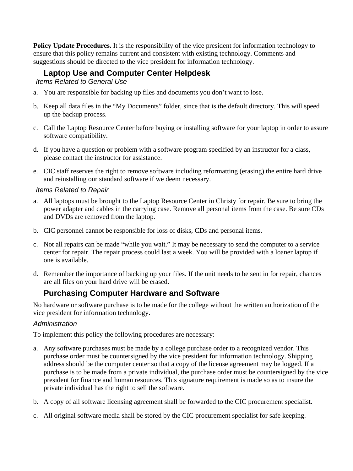**Policy Update Procedures.** It is the responsibility of the vice president for information technology to ensure that this policy remains current and consistent with existing technology. Comments and suggestions should be directed to the vice president for information technology.

# **Laptop Use and Computer Center Helpdesk**

*Items Related to General Use* 

- a. You are responsible for backing up files and documents you don't want to lose.
- b. Keep all data files in the "My Documents" folder, since that is the default directory. This will speed up the backup process.
- c. Call the Laptop Resource Center before buying or installing software for your laptop in order to assure software compatibility.
- d. If you have a question or problem with a software program specified by an instructor for a class, please contact the instructor for assistance.
- e. CIC staff reserves the right to remove software including reformatting (erasing) the entire hard drive and reinstalling our standard software if we deem necessary.

### *Items Related to Repair*

- a. All laptops must be brought to the Laptop Resource Center in Christy for repair. Be sure to bring the power adapter and cables in the carrying case. Remove all personal items from the case. Be sure CDs and DVDs are removed from the laptop.
- b. CIC personnel cannot be responsible for loss of disks, CDs and personal items.
- c. Not all repairs can be made "while you wait." It may be necessary to send the computer to a service center for repair. The repair process could last a week. You will be provided with a loaner laptop if one is available.
- d. Remember the importance of backing up your files. If the unit needs to be sent in for repair, chances are all files on your hard drive will be erased.

### **Purchasing Computer Hardware and Software**

No hardware or software purchase is to be made for the college without the written authorization of the vice president for information technology.

### *Administration*

To implement this policy the following procedures are necessary:

- a. Any software purchases must be made by a college purchase order to a recognized vendor. This purchase order must be countersigned by the vice president for information technology. Shipping address should be the computer center so that a copy of the license agreement may be logged. If a purchase is to be made from a private individual, the purchase order must be countersigned by the vice president for finance and human resources. This signature requirement is made so as to insure the private individual has the right to sell the software.
- b. A copy of all software licensing agreement shall be forwarded to the CIC procurement specialist.
- c. All original software media shall be stored by the CIC procurement specialist for safe keeping.